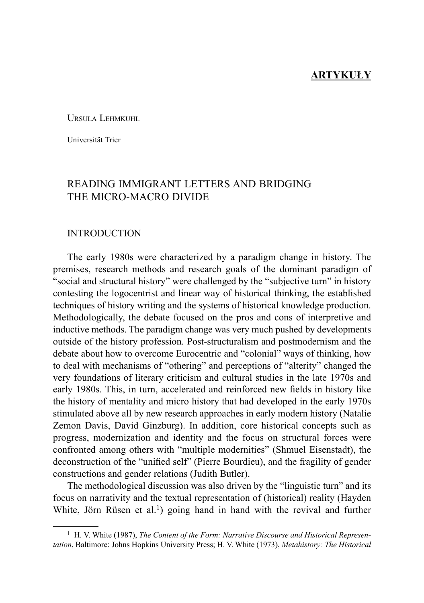## **ARTYKUŁY**

URSULA LEHMKUHL

Universität Trier

# READING IMMIGRANT LETTERS AND BRIDGING THE MICRO-MACRO DIVIDE

#### INTRODUCTION

The early 1980s were characterized by a paradigm change in history. The premises, research methods and research goals of the dominant paradigm of "social and structural history" were challenged by the "subjective turn" in history contesting the logocentrist and linear way of historical thinking, the established techniques of history writing and the systems of historical knowledge production. Methodologically, the debate focused on the pros and cons of interpretive and inductive methods. The paradigm change was very much pushed by developments outside of the history profession. Post-structuralism and postmodernism and the debate about how to overcome Eurocentric and "colonial" ways of thinking, how to deal with mechanisms of "othering" and perceptions of "alterity" changed the very foundations of literary criticism and cultural studies in the late 1970s and early 1980s. This, in turn, accelerated and reinforced new fields in history like the history of mentality and micro history that had developed in the early 1970s stimulated above all by new research approaches in early modern history (Natalie Zemon Davis, David Ginzburg). In addition, core historical concepts such as progress, modernization and identity and the focus on structural forces were confronted among others with "multiple modernities" (Shmuel Eisenstadt), the deconstruction of the "unified self" (Pierre Bourdieu), and the fragility of gender constructions and gender relations (Judith Butler).

The methodological discussion was also driven by the "linguistic turn" and its focus on narrativity and the textual representation of (historical) reality (Hayden White, Jörn Rüsen et al.<sup>1</sup>) going hand in hand with the revival and further

<sup>1</sup> H. V. White (1987), *The Content of the Form: Narrative Discourse and Historical Representation*, Baltimore: Johns Hopkins University Press; H. V. White (1973), *Metahistory: The Historical*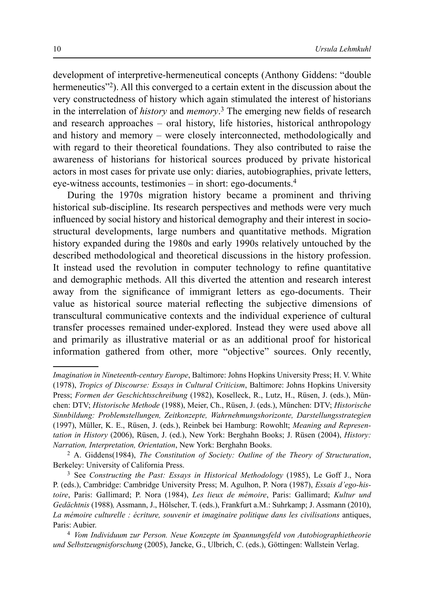development of interpretive-hermeneutical concepts (Anthony Giddens: "double hermeneutics<sup>32</sup>). All this converged to a certain extent in the discussion about the very constructedness of history which again stimulated the interest of historians in the interrelation of *history* and *memory*.<sup>3</sup> The emerging new fields of research and research approaches – oral history, life histories, historical anthropology and history and memory – were closely interconnected, methodologically and with regard to their theoretical foundations. They also contributed to raise the awareness of historians for historical sources produced by private historical actors in most cases for private use only: diaries, autobiographies, private letters, eye-witness accounts, testimonies – in short: ego-documents.4

During the 1970s migration history became a prominent and thriving historical sub-discipline. Its research perspectives and methods were very much influenced by social history and historical demography and their interest in sociostructural developments, large numbers and quantitative methods. Migration history expanded during the 1980s and early 1990s relatively untouched by the described methodological and theoretical discussions in the history profession. It instead used the revolution in computer technology to refine quantitative and demographic methods. All this diverted the attention and research interest away from the significance of immigrant letters as ego-documents. Their value as historical source material reflecting the subjective dimensions of transcultural communicative contexts and the individual experience of cultural transfer processes remained under-explored. Instead they were used above all and primarily as illustrative material or as an additional proof for historical information gathered from other, more "objective" sources. Only recently,

*Imagination in Nineteenth-century Europe*, Baltimore: Johns Hopkins University Press; H. V. White (1978), *Tropics of Discourse: Essays in Cultural Criticism*, Baltimore: Johns Hopkins University Press; *Formen der Geschichtsschreibung* (1982), Koselleck, R., Lutz, H., Rüsen, J. (eds.), München: DTV; *Historische Methode* (1988), Meier, Ch., Rü sen, J. (eds.), Mü nchen: DTV; *Historische Sinnbildung: Problemstellungen, Zeitkonzepte, Wahrnehmungshorizonte, Darstellungsstrategien* (1997), Mü ller, K. E., Rü sen, J. (eds.), Reinbek bei Hamburg: Rowohlt; *Meaning and Representation in History* (2006), Rüsen, J. (ed.), New York: Berghahn Books; J. Rüsen (2004), *History: Narration, Interpretation, Orientation*, New York: Berghahn Books.

<sup>2</sup> A. Giddens(1984), *The Constitution of Society: Outline of the Theory of Structuration*, Berkeley: University of California Press.

<sup>3</sup> See *Constructing the Past: Essays in Historical Methodology* (1985), Le Goff J., Nora P. (eds.), Cambridge: Cambridge University Press; M. Agulhon, P. Nora (1987), *Essais d'ego-histoire*, Paris: Gallimard; P. Nora (1984), *Les lieux de mé moire*, Paris: Gallimard; *Kultur und Gedä chtnis* (1988)*,* Assmann, J., Hö lscher, T. (eds.), Frankfurt a.M.: Suhrkamp; J. Assmann (2010), *La mé moire culturelle : é criture, souvenir et imaginaire politique dans les civilisations* antiques, Paris: Aubier.

<sup>4</sup> *Vom Individuum zur Person. Neue Konzepte im Spannungsfeld von Autobiographietheorie und Selbstzeugnisforschung* (2005), Jancke, G., Ulbrich, C. (eds.), Göttingen: Wallstein Verlag.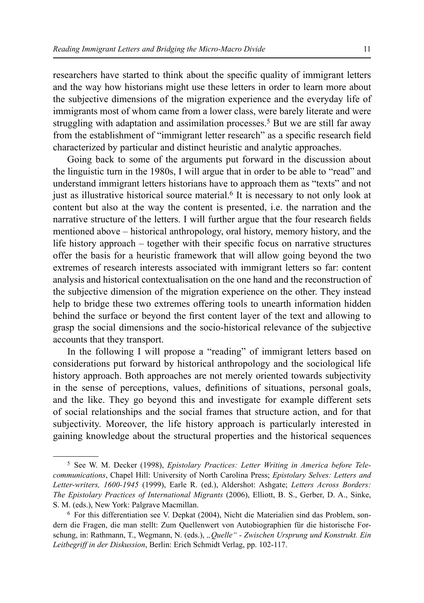researchers have started to think about the specific quality of immigrant letters and the way how historians might use these letters in order to learn more about the subjective dimensions of the migration experience and the everyday life of immigrants most of whom came from a lower class, were barely literate and were struggling with adaptation and assimilation processes.<sup>5</sup> But we are still far away from the establishment of "immigrant letter research" as a specific research field characterized by particular and distinct heuristic and analytic approaches.

Going back to some of the arguments put forward in the discussion about the linguistic turn in the 1980s, I will argue that in order to be able to "read" and understand immigrant letters historians have to approach them as "texts" and not just as illustrative historical source material.<sup>6</sup> It is necessary to not only look at content but also at the way the content is presented, i.e. the narration and the narrative structure of the letters. I will further argue that the four research fields mentioned above – historical anthropology, oral history, memory history, and the life history approach  $-$  together with their specific focus on narrative structures offer the basis for a heuristic framework that will allow going beyond the two extremes of research interests associated with immigrant letters so far: content analysis and historical contextualisation on the one hand and the reconstruction of the subjective dimension of the migration experience on the other. They instead help to bridge these two extremes offering tools to unearth information hidden behind the surface or beyond the first content layer of the text and allowing to grasp the social dimensions and the socio-historical relevance of the subjective accounts that they transport.

In the following I will propose a "reading" of immigrant letters based on considerations put forward by historical anthropology and the sociological life history approach. Both approaches are not merely oriented towards subjectivity in the sense of perceptions, values, definitions of situations, personal goals, and the like. They go beyond this and investigate for example different sets of social relationships and the social frames that structure action, and for that subjectivity. Moreover, the life history approach is particularly interested in gaining knowledge about the structural properties and the historical sequences

<sup>5</sup> See W. M. Decker (1998), *Epistolary Practices: Letter Writing in America before Telecommunications*, Chapel Hill: University of North Carolina Press; *Epistolary Selves: Letters and Letter-writers, 1600-1945* (1999), Earle R. (ed.), Aldershot: Ashgate; *Letters Across Borders: The Epistolary Practices of International Migrants* (2006), Elliott, B. S., Gerber, D. A., Sinke, S. M. (eds.), New York: Palgrave Macmillan.

<sup>6</sup> For this differentiation see V. Depkat (2004), Nicht die Materialien sind das Problem, sondern die Fragen, die man stellt: Zum Quellenwert von Autobiographien für die historische Forschung, in: Rathmann, T., Wegmann, N. (eds.), *"Quelle" - Zwischen Ursprung und Konstrukt. Ein Leitbegriff in der Diskussion*, Berlin: Erich Schmidt Verlag, pp. 102-117.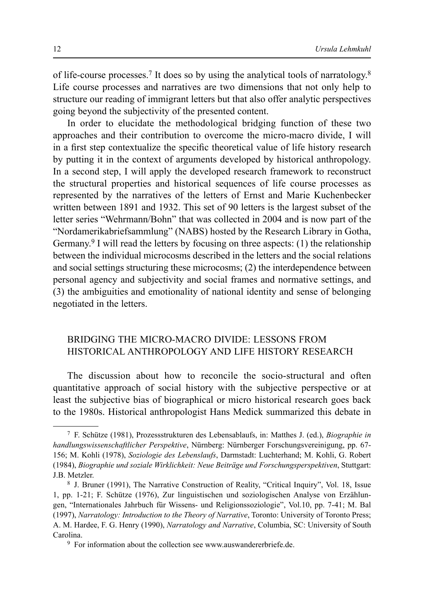of life-course processes.7 It does so by using the analytical tools of narratology.8 Life course processes and narratives are two dimensions that not only help to structure our reading of immigrant letters but that also offer analytic perspectives going beyond the subjectivity of the presented content.

In order to elucidate the methodological bridging function of these two approaches and their contribution to overcome the micro-macro divide, I will in a first step contextualize the specific theoretical value of life history research by putting it in the context of arguments developed by historical anthropology. In a second step, I will apply the developed research framework to reconstruct the structural properties and historical sequences of life course processes as represented by the narratives of the letters of Ernst and Marie Kuchenbecker written between 1891 and 1932. This set of 90 letters is the largest subset of the letter series "Wehrmann/Bohn" that was collected in 2004 and is now part of the "Nordamerikabriefsammlung" (NABS) hosted by the Research Library in Gotha, Germany.<sup>9</sup> I will read the letters by focusing on three aspects: (1) the relationship between the individual microcosms described in the letters and the social relations and social settings structuring these microcosms; (2) the interdependence between personal agency and subjectivity and social frames and normative settings, and (3) the ambiguities and emotionality of national identity and sense of belonging negotiated in the letters.

## BRIDGING THE MICRO-MACRO DIVIDE: LESSONS FROM HISTORICAL ANTHROPOLOGY AND LIFE HISTORY RESEARCH

The discussion about how to reconcile the socio-structural and often quantitative approach of social history with the subjective perspective or at least the subjective bias of biographical or micro historical research goes back to the 1980s. Historical anthropologist Hans Medick summarized this debate in

<sup>7</sup> F. Schütze (1981), Prozessstrukturen des Lebensablaufs, in: Matthes J. (ed.), *Biographie in handlungswissenschaftlicher Perspektive*, Nürnberg: Nürnberger Forschungsvereinigung, pp. 67- 156; M. Kohli (1978), *Soziologie des Lebenslaufs*, Darmstadt: Luchterhand; M. Kohli, G. Robert (1984), *Biographie und soziale Wirklichkeit: Neue Beiträge und Forschungsperspektiven*, Stuttgart: J.B. Metzler.

<sup>8</sup> J. Bruner (1991), The Narrative Construction of Reality, "Critical Inquiry", Vol. 18, Issue 1, pp. 1-21; F. Schütze (1976), Zur linguistischen und soziologischen Analyse von Erzählungen, "Internationales Jahrbuch für Wissens- und Religionssoziologie", Vol.10, pp. 7-41; M. Bal (1997), *Narratology: Introduction to the Theory of Narrative*, Toronto: University of Toronto Press; A. M. Hardee, F. G. Henry (1990), *Narratology and Narrative*, Columbia, SC: University of South Carolina.

<sup>&</sup>lt;sup>9</sup> For information about the collection see www.auswandererbriefe.de.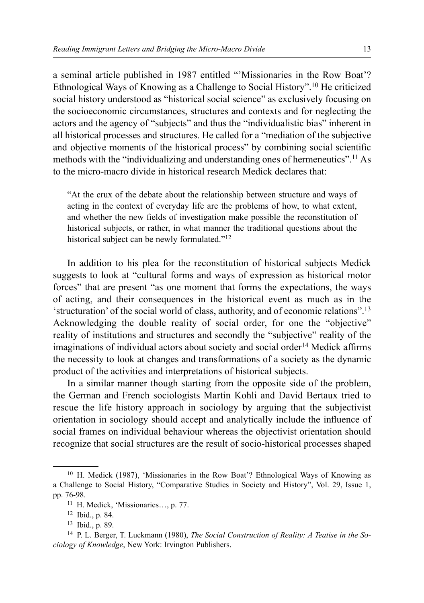a seminal article published in 1987 entitled "'Missionaries in the Row Boat'? Ethnological Ways of Knowing as a Challenge to Social History".10 He criticized social history understood as "historical social science" as exclusively focusing on the socioeconomic circumstances, structures and contexts and for neglecting the actors and the agency of "subjects" and thus the "individualistic bias" inherent in all historical processes and structures. He called for a "mediation of the subjective and objective moments of the historical process" by combining social scientific methods with the "individualizing and understanding ones of hermeneutics".11 As to the micro-macro divide in historical research Medick declares that:

"At the crux of the debate about the relationship between structure and ways of acting in the context of everyday life are the problems of how, to what extent, and whether the new fields of investigation make possible the reconstitution of historical subjects, or rather, in what manner the traditional questions about the historical subject can be newly formulated."<sup>12</sup>

In addition to his plea for the reconstitution of historical subjects Medick suggests to look at "cultural forms and ways of expression as historical motor forces" that are present "as one moment that forms the expectations, the ways of acting, and their consequences in the historical event as much as in the 'structuration' of the social world of class, authority, and of economic relations".13 Acknowledging the double reality of social order, for one the "objective" reality of institutions and structures and secondly the "subjective" reality of the imaginations of individual actors about society and social order<sup>14</sup> Medick affirms the necessity to look at changes and transformations of a society as the dynamic product of the activities and interpretations of historical subjects.

In a similar manner though starting from the opposite side of the problem, the German and French sociologists Martin Kohli and David Bertaux tried to rescue the life history approach in sociology by arguing that the subjectivist orientation in sociology should accept and analytically include the influence of social frames on individual behaviour whereas the objectivist orientation should recognize that social structures are the result of socio-historical processes shaped

<sup>10</sup> H. Medick (1987), 'Missionaries in the Row Boat'? Ethnological Ways of Knowing as a Challenge to Social History, "Comparative Studies in Society and History", Vol. 29, Issue 1, pp. 76-98.

<sup>11</sup> H. Medick, 'Missionaries…, p. 77.

<sup>12</sup> Ibid., p. 84.

<sup>13</sup> Ibid., p. 89.

<sup>14</sup> P. L. Berger, T. Luckmann (1980), *The Social Construction of Reality: A Teatise in the Sociology of Knowledge*, New York: Irvington Publishers.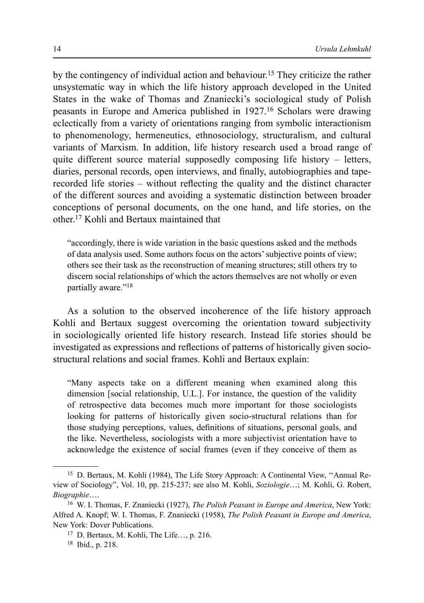by the contingency of individual action and behaviour.15 They criticize the rather unsystematic way in which the life history approach developed in the United States in the wake of Thomas and Znaniecki's sociological study of Polish peasants in Europe and America published in 1927.16 Scholars were drawing eclectically from a variety of orientations ranging from symbolic interactionism to phenomenology, hermeneutics, ethnosociology, structuralism, and cultural variants of Marxism. In addition, life history research used a broad range of quite different source material supposedly composing life history – letters, diaries, personal records, open interviews, and finally, autobiographies and taperecorded life stories – without reflecting the quality and the distinct character of the different sources and avoiding a systematic distinction between broader conceptions of personal documents, on the one hand, and life stories, on the other.17 Kohli and Bertaux maintained that

"accordingly, there is wide variation in the basic questions asked and the methods of data analysis used. Some authors focus on the actors' subjective points of view; others see their task as the reconstruction of meaning structures; still others try to discern social relationships of which the actors themselves are not wholly or even partially aware."18

As a solution to the observed incoherence of the life history approach Kohli and Bertaux suggest overcoming the orientation toward subjectivity in sociologically oriented life history research. Instead life stories should be investigated as expressions and reflections of patterns of historically given sociostructural relations and social frames. Kohli and Bertaux explain:

"Many aspects take on a different meaning when examined along this dimension [social relationship, U.L.]. For instance, the question of the validity of retrospective data becomes much more important for those sociologists looking for patterns of historically given socio-structural relations than for those studying perceptions, values, definitions of situations, personal goals, and the like. Nevertheless, sociologists with a more subjectivist orientation have to acknowledge the existence of social frames (even if they conceive of them as

<sup>15</sup> D. Bertaux, M. Kohli (1984), The Life Story Approach: A Continental View, ''Annual Review of Sociology", Vol. 10, pp. 215-237; see also M. Kohli, *Soziologie*…; M. Kohli, G. Robert, *Biographie*….

<sup>16</sup> W. I. Thomas, F. Znaniecki (1927), *The Polish Peasant in Europe and America*, New York: Alfred A. Knopf; W. I. Thomas, F. Znaniecki (1958), *The Polish Peasant in Europe and America*, New York: Dover Publications.

<sup>17</sup> D. Bertaux, M. Kohli, The Life…, p. 216.

<sup>18</sup> Ibid., p. 218.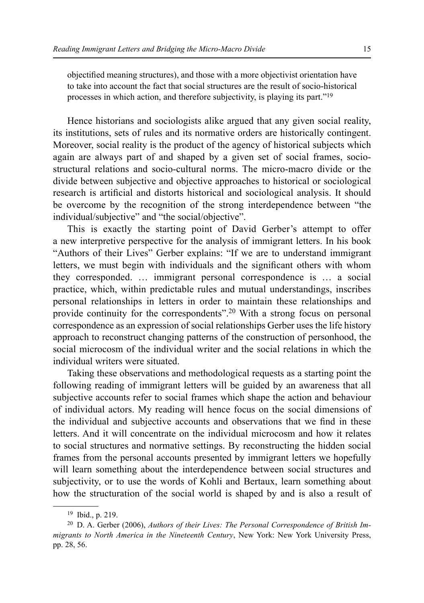objectified meaning structures), and those with a more objectivist orientation have to take into account the fact that social structures are the result of socio-historical processes in which action, and therefore subjectivity, is playing its part."19

Hence historians and sociologists alike argued that any given social reality, its institutions, sets of rules and its normative orders are historically contingent. Moreover, social reality is the product of the agency of historical subjects which again are always part of and shaped by a given set of social frames, sociostructural relations and socio-cultural norms. The micro-macro divide or the divide between subjective and objective approaches to historical or sociological research is artificial and distorts historical and sociological analysis. It should be overcome by the recognition of the strong interdependence between "the individual/subjective" and "the social/objective".

This is exactly the starting point of David Gerber's attempt to offer a new interpretive perspective for the analysis of immigrant letters. In his book "Authors of their Lives" Gerber explains: "If we are to understand immigrant letters, we must begin with individuals and the significant others with whom they corresponded. … immigrant personal correspondence is … a social practice, which, within predictable rules and mutual understandings, inscribes personal relationships in letters in order to maintain these relationships and provide continuity for the correspondents".20 With a strong focus on personal correspondence as an expression of social relationships Gerber uses the life history approach to reconstruct changing patterns of the construction of personhood, the social microcosm of the individual writer and the social relations in which the individual writers were situated.

Taking these observations and methodological requests as a starting point the following reading of immigrant letters will be guided by an awareness that all subjective accounts refer to social frames which shape the action and behaviour of individual actors. My reading will hence focus on the social dimensions of the individual and subjective accounts and observations that we find in these letters. And it will concentrate on the individual microcosm and how it relates to social structures and normative settings. By reconstructing the hidden social frames from the personal accounts presented by immigrant letters we hopefully will learn something about the interdependence between social structures and subjectivity, or to use the words of Kohli and Bertaux, learn something about how the structuration of the social world is shaped by and is also a result of

<sup>19</sup> Ibid., p. 219.

<sup>20</sup> D. A. Gerber (2006), *Authors of their Lives: The Personal Correspondence of British Immigrants to North America in the Nineteenth Century*, New York: New York University Press, pp. 28, 56.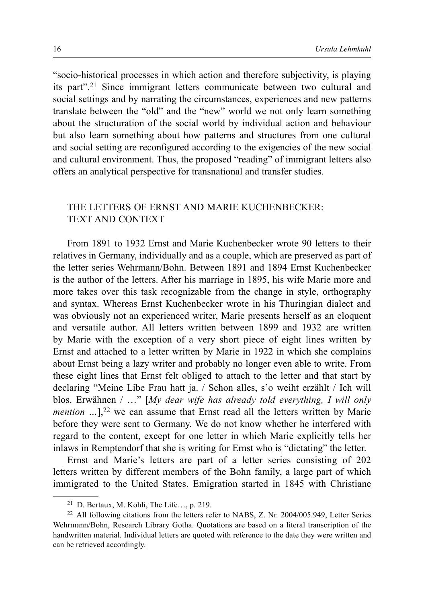"socio-historical processes in which action and therefore subjectivity, is playing its part".21 Since immigrant letters communicate between two cultural and social settings and by narrating the circumstances, experiences and new patterns translate between the "old" and the "new" world we not only learn something about the structuration of the social world by individual action and behaviour but also learn something about how patterns and structures from one cultural and social setting are reconfigured according to the exigencies of the new social and cultural environment. Thus, the proposed "reading" of immigrant letters also offers an analytical perspective for transnational and transfer studies.

### THE LETTERS OF ERNST AND MARIE KUCHENBECKER: TEXT AND CONTEXT

From 1891 to 1932 Ernst and Marie Kuchenbecker wrote 90 letters to their relatives in Germany, individually and as a couple, which are preserved as part of the letter series Wehrmann/Bohn. Between 1891 and 1894 Ernst Kuchenbecker is the author of the letters. After his marriage in 1895, his wife Marie more and more takes over this task recognizable from the change in style, orthography and syntax. Whereas Ernst Kuchenbecker wrote in his Thuringian dialect and was obviously not an experienced writer, Marie presents herself as an eloquent and versatile author. All letters written between 1899 and 1932 are written by Marie with the exception of a very short piece of eight lines written by Ernst and attached to a letter written by Marie in 1922 in which she complains about Ernst being a lazy writer and probably no longer even able to write. From these eight lines that Ernst felt obliged to attach to the letter and that start by declaring "Meine Libe Frau hatt ja. / Schon alles, s'o weiht erzählt / Ich will blos. Erwähnen / …" [*My dear wife has already told everything, I will only mention* ...],<sup>22</sup> we can assume that Ernst read all the letters written by Marie before they were sent to Germany. We do not know whether he interfered with regard to the content, except for one letter in which Marie explicitly tells her inlaws in Remptendorf that she is writing for Ernst who is "dictating" the letter.

Ernst and Marie's letters are part of a letter series consisting of 202 letters written by different members of the Bohn family, a large part of which immigrated to the United States. Emigration started in 1845 with Christiane

<sup>21</sup> D. Bertaux, M. Kohli, The Life…, p. 219.

<sup>22</sup> All following citations from the letters refer to NABS, Z. Nr. 2004/005.949, Letter Series Wehrmann/Bohn, Research Library Gotha. Quotations are based on a literal transcription of the handwritten material. Individual letters are quoted with reference to the date they were written and can be retrieved accordingly.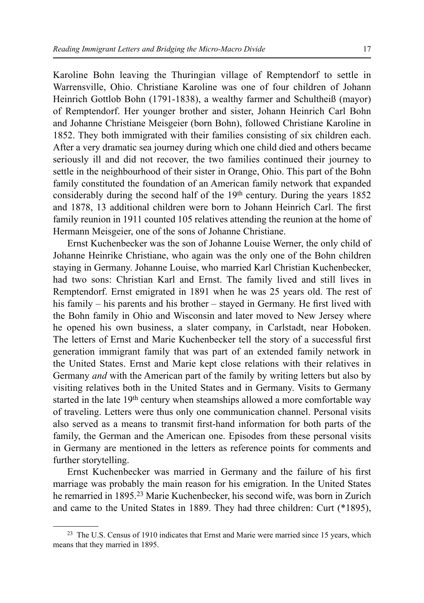Karoline Bohn leaving the Thuringian village of Remptendorf to settle in Warrensville, Ohio. Christiane Karoline was one of four children of Johann Heinrich Gottlob Bohn (1791-1838), a wealthy farmer and Schultheiß (mayor) of Remptendorf. Her younger brother and sister, Johann Heinrich Carl Bohn and Johanne Christiane Meisgeier (born Bohn), followed Christiane Karoline in 1852. They both immigrated with their families consisting of six children each. After a very dramatic sea journey during which one child died and others became seriously ill and did not recover, the two families continued their journey to settle in the neighbourhood of their sister in Orange, Ohio. This part of the Bohn family constituted the foundation of an American family network that expanded considerably during the second half of the 19th century. During the years 1852 and 1878, 13 additional children were born to Johann Heinrich Carl. The first family reunion in 1911 counted 105 relatives attending the reunion at the home of Hermann Meisgeier, one of the sons of Johanne Christiane.

Ernst Kuchenbecker was the son of Johanne Louise Werner, the only child of Johanne Heinrike Christiane, who again was the only one of the Bohn children staying in Germany. Johanne Louise, who married Karl Christian Kuchenbecker, had two sons: Christian Karl and Ernst. The family lived and still lives in Remptendorf. Ernst emigrated in 1891 when he was 25 years old. The rest of his family – his parents and his brother – stayed in Germany. He first lived with the Bohn family in Ohio and Wisconsin and later moved to New Jersey where he opened his own business, a slater company, in Carlstadt, near Hoboken. The letters of Ernst and Marie Kuchenbecker tell the story of a successful first generation immigrant family that was part of an extended family network in the United States. Ernst and Marie kept close relations with their relatives in Germany *and* with the American part of the family by writing letters but also by visiting relatives both in the United States and in Germany. Visits to Germany started in the late 19<sup>th</sup> century when steamships allowed a more comfortable way of traveling. Letters were thus only one communication channel. Personal visits also served as a means to transmit first-hand information for both parts of the family, the German and the American one. Episodes from these personal visits in Germany are mentioned in the letters as reference points for comments and further storytelling.

Ernst Kuchenbecker was married in Germany and the failure of his first marriage was probably the main reason for his emigration. In the United States he remarried in 1895.23 Marie Kuchenbecker, his second wife, was born in Zurich and came to the United States in 1889. They had three children: Curt (\*1895),

<sup>&</sup>lt;sup>23</sup> The U.S. Census of 1910 indicates that Ernst and Marie were married since 15 years, which means that they married in 1895.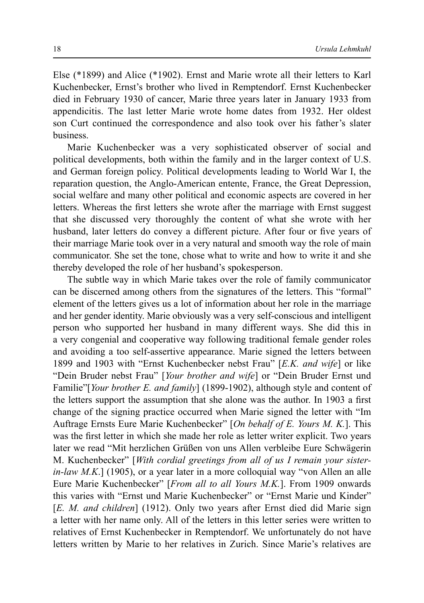Else (\*1899) and Alice (\*1902). Ernst and Marie wrote all their letters to Karl Kuchenbecker, Ernst's brother who lived in Remptendorf. Ernst Kuchenbecker died in February 1930 of cancer, Marie three years later in January 1933 from appendicitis. The last letter Marie wrote home dates from 1932. Her oldest son Curt continued the correspondence and also took over his father's slater business.

Marie Kuchenbecker was a very sophisticated observer of social and political developments, both within the family and in the larger context of U.S. and German foreign policy. Political developments leading to World War I, the reparation question, the Anglo-American entente, France, the Great Depression, social welfare and many other political and economic aspects are covered in her letters. Whereas the first letters she wrote after the marriage with Ernst suggest that she discussed very thoroughly the content of what she wrote with her husband, later letters do convey a different picture. After four or five years of their marriage Marie took over in a very natural and smooth way the role of main communicator. She set the tone, chose what to write and how to write it and she thereby developed the role of her husband's spokesperson.

The subtle way in which Marie takes over the role of family communicator can be discerned among others from the signatures of the letters. This "formal" element of the letters gives us a lot of information about her role in the marriage and her gender identity. Marie obviously was a very self-conscious and intelligent person who supported her husband in many different ways. She did this in a very congenial and cooperative way following traditional female gender roles and avoiding a too self-assertive appearance. Marie signed the letters between 1899 and 1903 with "Ernst Kuchenbecker nebst Frau" [*E.K. and wife*] or like "Dein Bruder nebst Frau" [*Your brother and wife*] or "Dein Bruder Ernst und Familie"[*Your brother E. and family*] (1899-1902), although style and content of the letters support the assumption that she alone was the author. In 1903 a first change of the signing practice occurred when Marie signed the letter with "Im Auftrage Ernsts Eure Marie Kuchenbecker" [*On behalf of E. Yours M. K.*]. This was the first letter in which she made her role as letter writer explicit. Two years later we read "Mit herzlichen Grüßen von uns Allen verbleibe Eure Schwägerin M. Kuchenbecker" [*With cordial greetings from all of us I remain your sisterin-law M.K.*] (1905), or a year later in a more colloquial way "von Allen an alle Eure Marie Kuchenbecker" [*From all to all Yours M.K.*]. From 1909 onwards this varies with "Ernst und Marie Kuchenbecker" or "Ernst Marie und Kinder" [*E. M. and children*] (1912). Only two years after Ernst died did Marie sign a letter with her name only. All of the letters in this letter series were written to relatives of Ernst Kuchenbecker in Remptendorf. We unfortunately do not have letters written by Marie to her relatives in Zurich. Since Marie's relatives are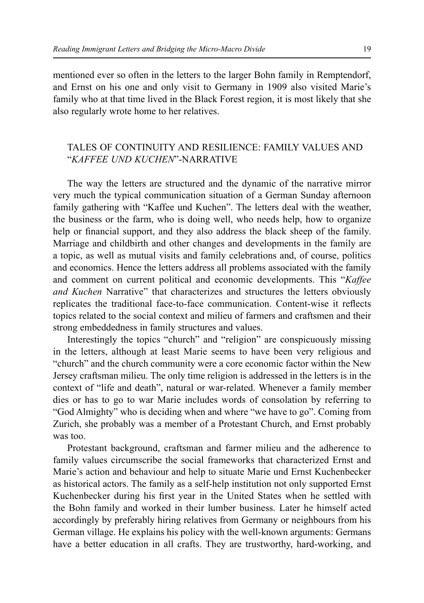mentioned ever so often in the letters to the larger Bohn family in Remptendorf, and Ernst on his one and only visit to Germany in 1909 also visited Marie's family who at that time lived in the Black Forest region, it is most likely that she also regularly wrote home to her relatives.

## TALES OF CONTINUITY AND RESILIENCE: FAMILY VALUES AND "*KAFFEE UND KUCHEN*"-NARRATIVE

The way the letters are structured and the dynamic of the narrative mirror very much the typical communication situation of a German Sunday afternoon family gathering with "Kaffee und Kuchen". The letters deal with the weather, the business or the farm, who is doing well, who needs help, how to organize help or financial support, and they also address the black sheep of the family. Marriage and childbirth and other changes and developments in the family are a topic, as well as mutual visits and family celebrations and, of course, politics and economics. Hence the letters address all problems associated with the family and comment on current political and economic developments. This "*Kaffee and Kuchen* Narrative" that characterizes and structures the letters obviously replicates the traditional face-to-face communication. Content-wise it reflects topics related to the social context and milieu of farmers and craftsmen and their strong embeddedness in family structures and values.

Interestingly the topics "church" and "religion" are conspicuously missing in the letters, although at least Marie seems to have been very religious and "church" and the church community were a core economic factor within the New Jersey craftsman milieu. The only time religion is addressed in the letters is in the context of "life and death", natural or war-related. Whenever a family member dies or has to go to war Marie includes words of consolation by referring to "God Almighty" who is deciding when and where "we have to go". Coming from Zurich, she probably was a member of a Protestant Church, and Ernst probably was too.

Protestant background, craftsman and farmer milieu and the adherence to family values circumscribe the social frameworks that characterized Ernst and Marie's action and behaviour and help to situate Marie und Ernst Kuchenbecker as historical actors. The family as a self-help institution not only supported Ernst Kuchenbecker during his first year in the United States when he settled with the Bohn family and worked in their lumber business. Later he himself acted accordingly by preferably hiring relatives from Germany or neighbours from his German village. He explains his policy with the well-known arguments: Germans have a better education in all crafts. They are trustworthy, hard-working, and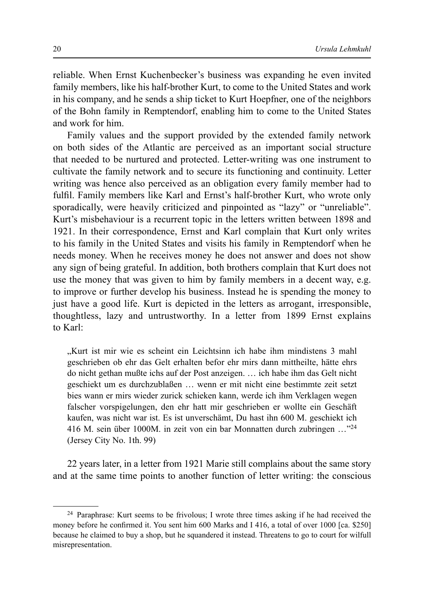reliable. When Ernst Kuchenbecker's business was expanding he even invited family members, like his half-brother Kurt, to come to the United States and work in his company, and he sends a ship ticket to Kurt Hoepfner, one of the neighbors of the Bohn family in Remptendorf, enabling him to come to the United States and work for him.

Family values and the support provided by the extended family network on both sides of the Atlantic are perceived as an important social structure that needed to be nurtured and protected. Letter-writing was one instrument to cultivate the family network and to secure its functioning and continuity. Letter writing was hence also perceived as an obligation every family member had to fulfil. Family members like Karl and Ernst's half-brother Kurt, who wrote only sporadically, were heavily criticized and pinpointed as "lazy" or "unreliable". Kurt's misbehaviour is a recurrent topic in the letters written between 1898 and 1921. In their correspondence, Ernst and Karl complain that Kurt only writes to his family in the United States and visits his family in Remptendorf when he needs money. When he receives money he does not answer and does not show any sign of being grateful. In addition, both brothers complain that Kurt does not use the money that was given to him by family members in a decent way, e.g. to improve or further develop his business. Instead he is spending the money to just have a good life. Kurt is depicted in the letters as arrogant, irresponsible, thoughtless, lazy and untrustworthy. In a letter from 1899 Ernst explains to Karl:

"Kurt ist mir wie es scheint ein Leichtsinn ich habe ihm mindistens 3 mahl geschrieben ob ehr das Gelt erhalten befor ehr mirs dann mittheilte, hätte ehrs do nicht gethan mußte ichs auf der Post anzeigen. … ich habe ihm das Gelt nicht geschiekt um es durchzublaßen … wenn er mit nicht eine bestimmte zeit setzt bies wann er mirs wieder zurick schieken kann, werde ich ihm Verklagen wegen falscher vorspigelungen, den ehr hatt mir geschrieben er wollte ein Geschäft kaufen, was nicht war ist. Es ist unverschämt, Du hast ihn 600 M. geschiekt ich 416 M. sein über 1000M. in zeit von ein bar Monnatten durch zubringen …"24 (Jersey City No. 1th. 99)

22 years later, in a letter from 1921 Marie still complains about the same story and at the same time points to another function of letter writing: the conscious

<sup>24</sup> Paraphrase: Kurt seems to be frivolous; I wrote three times asking if he had received the money before he confirmed it. You sent him 600 Marks and I 416, a total of over 1000 [ca. \$250] because he claimed to buy a shop, but he squandered it instead. Threatens to go to court for wilfull misrepresentation.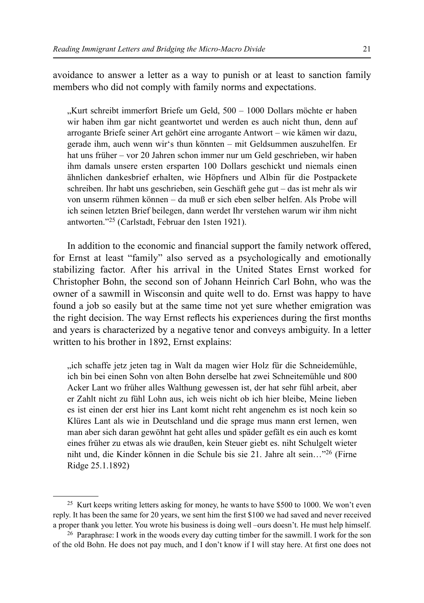avoidance to answer a letter as a way to punish or at least to sanction family members who did not comply with family norms and expectations.

"Kurt schreibt immerfort Briefe um Geld, 500 – 1000 Dollars möchte er haben wir haben ihm gar nicht geantwortet und werden es auch nicht thun, denn auf arrogante Briefe seiner Art gehört eine arrogante Antwort – wie kämen wir dazu, gerade ihm, auch wenn wir's thun könnten – mit Geldsummen auszuhelfen. Er hat uns früher – vor 20 Jahren schon immer nur um Geld geschrieben, wir haben ihm damals unsere ersten ersparten 100 Dollars geschickt und niemals einen ähnlichen dankesbrief erhalten, wie Höpfners und Albin für die Postpackete schreiben. Ihr habt uns geschrieben, sein Geschäft gehe gut – das ist mehr als wir von unserm rühmen können – da muß er sich eben selber helfen. Als Probe will ich seinen letzten Brief beilegen, dann werdet Ihr verstehen warum wir ihm nicht antworten."25 (Carlstadt, Februar den 1sten 1921).

In addition to the economic and financial support the family network offered, for Ernst at least "family" also served as a psychologically and emotionally stabilizing factor. After his arrival in the United States Ernst worked for Christopher Bohn, the second son of Johann Heinrich Carl Bohn, who was the owner of a sawmill in Wisconsin and quite well to do. Ernst was happy to have found a job so easily but at the same time not yet sure whether emigration was the right decision. The way Ernst reflects his experiences during the first months and years is characterized by a negative tenor and conveys ambiguity. In a letter written to his brother in 1892, Ernst explains:

"ich schaffe jetz jeten tag in Walt da magen wier Holz für die Schneidemühle, ich bin bei einen Sohn von alten Bohn derselbe hat zwei Schneitemühle und 800 Acker Lant wo früher alles Walthung gewessen ist, der hat sehr fühl arbeit, aber er Zahlt nicht zu fühl Lohn aus, ich weis nicht ob ich hier bleibe, Meine lieben es ist einen der erst hier ins Lant komt nicht reht angenehm es ist noch kein so Klüres Lant als wie in Deutschland und die sprage mus mann erst lernen, wen man aber sich daran gewöhnt hat geht alles und späder gefält es ein auch es komt eines früher zu etwas als wie draußen, kein Steuer giebt es. niht Schulgelt wieter niht und, die Kinder können in die Schule bis sie 21. Jahre alt sein…"26 (Firne Ridge 25.1.1892)

<sup>&</sup>lt;sup>25</sup> Kurt keeps writing letters asking for money, he wants to have \$500 to 1000. We won't even reply. It has been the same for 20 years, we sent him the first \$100 we had saved and never received a proper thank you letter. You wrote his business is doing well –ours doesn't. He must help himself.

<sup>26</sup> Paraphrase: I work in the woods every day cutting timber for the sawmill. I work for the son of the old Bohn. He does not pay much, and I don't know if I will stay here. At first one does not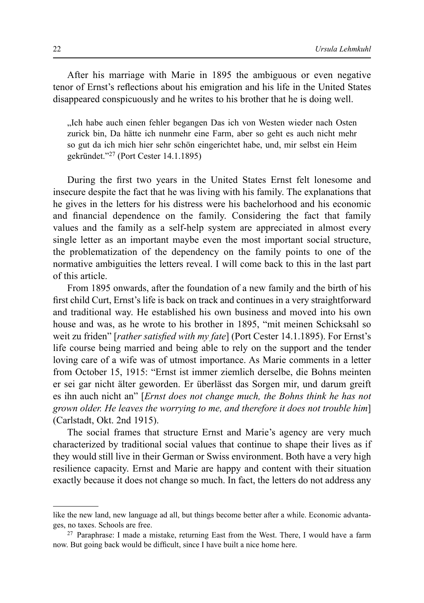After his marriage with Marie in 1895 the ambiguous or even negative tenor of Ernst's reflections about his emigration and his life in the United States disappeared conspicuously and he writes to his brother that he is doing well.

"Ich habe auch einen fehler begangen Das ich von Westen wieder nach Osten zurick bin, Da hätte ich nunmehr eine Farm, aber so geht es auch nicht mehr so gut da ich mich hier sehr schön eingerichtet habe, und, mir selbst ein Heim gekründet."27 (Port Cester 14.1.1895)

During the first two years in the United States Ernst felt lonesome and insecure despite the fact that he was living with his family. The explanations that he gives in the letters for his distress were his bachelorhood and his economic and financial dependence on the family. Considering the fact that family values and the family as a self-help system are appreciated in almost every single letter as an important maybe even the most important social structure, the problematization of the dependency on the family points to one of the normative ambiguities the letters reveal. I will come back to this in the last part of this article.

From 1895 onwards, after the foundation of a new family and the birth of his first child Curt, Ernst's life is back on track and continues in a very straightforward and traditional way. He established his own business and moved into his own house and was, as he wrote to his brother in 1895, "mit meinen Schicksahl so weit zu friden" [*rather satisfied with my fate*] (Port Cester 14.1.1895). For Ernst's life course being married and being able to rely on the support and the tender loving care of a wife was of utmost importance. As Marie comments in a letter from October 15, 1915: "Ernst ist immer ziemlich derselbe, die Bohns meinten er sei gar nicht älter geworden. Er überlässt das Sorgen mir, und darum greift es ihn auch nicht an" [*Ernst does not change much, the Bohns think he has not grown older. He leaves the worrying to me, and therefore it does not trouble him*] (Carlstadt, Okt. 2nd 1915).

The social frames that structure Ernst and Marie's agency are very much characterized by traditional social values that continue to shape their lives as if they would still live in their German or Swiss environment. Both have a very high resilience capacity. Ernst and Marie are happy and content with their situation exactly because it does not change so much. In fact, the letters do not address any

like the new land, new language ad all, but things become better after a while. Economic advantages, no taxes. Schools are free.

<sup>27</sup> Paraphrase: I made a mistake, returning East from the West. There, I would have a farm now. But going back would be difficult, since I have built a nice home here.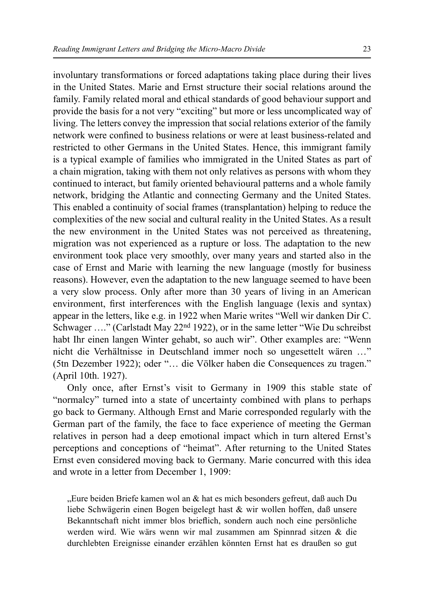involuntary transformations or forced adaptations taking place during their lives in the United States. Marie and Ernst structure their social relations around the family. Family related moral and ethical standards of good behaviour support and provide the basis for a not very "exciting" but more or less uncomplicated way of living. The letters convey the impression that social relations exterior of the family network were confined to business relations or were at least business-related and restricted to other Germans in the United States. Hence, this immigrant family is a typical example of families who immigrated in the United States as part of a chain migration, taking with them not only relatives as persons with whom they continued to interact, but family oriented behavioural patterns and a whole family network, bridging the Atlantic and connecting Germany and the United States. This enabled a continuity of social frames (transplantation) helping to reduce the complexities of the new social and cultural reality in the United States. As a result the new environment in the United States was not perceived as threatening, migration was not experienced as a rupture or loss. The adaptation to the new environment took place very smoothly, over many years and started also in the case of Ernst and Marie with learning the new language (mostly for business reasons). However, even the adaptation to the new language seemed to have been a very slow process. Only after more than 30 years of living in an American environment, first interferences with the English language (lexis and syntax) appear in the letters, like e.g. in 1922 when Marie writes "Well wir danken Dir C. Schwager ...." (Carlstadt May 22<sup>nd</sup> 1922), or in the same letter "Wie Du schreibst" habt Ihr einen langen Winter gehabt, so auch wir". Other examples are: "Wenn nicht die Verhältnisse in Deutschland immer noch so ungesettelt wären …" (5tn Dezember 1922); oder "… die Völker haben die Consequences zu tragen." (April 10th. 1927).

Only once, after Ernst's visit to Germany in 1909 this stable state of "normalcy" turned into a state of uncertainty combined with plans to perhaps go back to Germany. Although Ernst and Marie corresponded regularly with the German part of the family, the face to face experience of meeting the German relatives in person had a deep emotional impact which in turn altered Ernst's perceptions and conceptions of "heimat". After returning to the United States Ernst even considered moving back to Germany. Marie concurred with this idea and wrote in a letter from December 1, 1909:

"Eure beiden Briefe kamen wol an & hat es mich besonders gefreut, daß auch Du liebe Schwägerin einen Bogen beigelegt hast & wir wollen hoffen, daß unsere Bekanntschaft nicht immer blos brieflich, sondern auch noch eine persönliche werden wird. Wie wärs wenn wir mal zusammen am Spinnrad sitzen & die durchlebten Ereignisse einander erzählen könnten Ernst hat es draußen so gut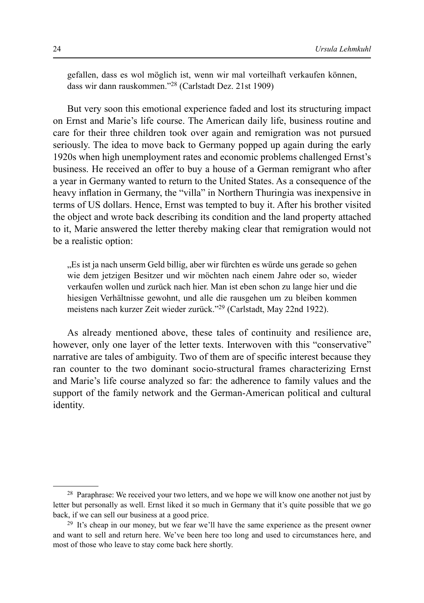gefallen, dass es wol möglich ist, wenn wir mal vorteilhaft verkaufen können, dass wir dann rauskommen."28 (Carlstadt Dez. 21st 1909)

But very soon this emotional experience faded and lost its structuring impact on Ernst and Marie's life course. The American daily life, business routine and care for their three children took over again and remigration was not pursued seriously. The idea to move back to Germany popped up again during the early 1920s when high unemployment rates and economic problems challenged Ernst's business. He received an offer to buy a house of a German remigrant who after a year in Germany wanted to return to the United States. As a consequence of the heavy inflation in Germany, the "villa" in Northern Thuringia was inexpensive in terms of US dollars. Hence, Ernst was tempted to buy it. After his brother visited the object and wrote back describing its condition and the land property attached to it, Marie answered the letter thereby making clear that remigration would not be a realistic option:

"Es ist ja nach unserm Geld billig, aber wir fürchten es würde uns gerade so gehen." wie dem jetzigen Besitzer und wir möchten nach einem Jahre oder so, wieder verkaufen wollen und zurück nach hier. Man ist eben schon zu lange hier und die hiesigen Verhältnisse gewohnt, und alle die rausgehen um zu bleiben kommen meistens nach kurzer Zeit wieder zurück."29 (Carlstadt, May 22nd 1922).

As already mentioned above, these tales of continuity and resilience are, however, only one layer of the letter texts. Interwoven with this "conservative" narrative are tales of ambiguity. Two of them are of specific interest because they ran counter to the two dominant socio-structural frames characterizing Ernst and Marie's life course analyzed so far: the adherence to family values and the support of the family network and the German-American political and cultural identity.

<sup>&</sup>lt;sup>28</sup> Paraphrase: We received your two letters, and we hope we will know one another not just by letter but personally as well. Ernst liked it so much in Germany that it's quite possible that we go back, if we can sell our business at a good price.

<sup>29</sup> It's cheap in our money, but we fear we'll have the same experience as the present owner and want to sell and return here. We've been here too long and used to circumstances here, and most of those who leave to stay come back here shortly.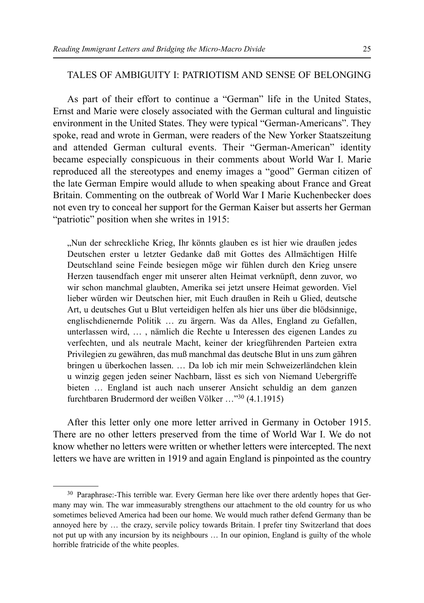### TALES OF AMBIGUITY I: PATRIOTISM AND SENSE OF BELONGING

As part of their effort to continue a "German" life in the United States, Ernst and Marie were closely associated with the German cultural and linguistic environment in the United States. They were typical "German-Americans". They spoke, read and wrote in German, were readers of the New Yorker Staatszeitung and attended German cultural events. Their "German-American" identity became especially conspicuous in their comments about World War I. Marie reproduced all the stereotypes and enemy images a "good" German citizen of the late German Empire would allude to when speaking about France and Great Britain. Commenting on the outbreak of World War I Marie Kuchenbecker does not even try to conceal her support for the German Kaiser but asserts her German "patriotic" position when she writes in 1915:

"Nun der schreckliche Krieg, Ihr könnts glauben es ist hier wie draußen jedes Deutschen erster u letzter Gedanke daß mit Gottes des Allmächtigen Hilfe Deutschland seine Feinde besiegen möge wir fühlen durch den Krieg unsere Herzen tausendfach enger mit unserer alten Heimat verknüpft, denn zuvor, wo wir schon manchmal glaubten, Amerika sei jetzt unsere Heimat geworden. Viel lieber würden wir Deutschen hier, mit Euch draußen in Reih u Glied, deutsche Art, u deutsches Gut u Blut verteidigen helfen als hier uns über die blödsinnige, englischdienernde Politik … zu ärgern. Was da Alles, England zu Gefallen, unterlassen wird, … , nämlich die Rechte u Interessen des eigenen Landes zu verfechten, und als neutrale Macht, keiner der kriegführenden Parteien extra Privilegien zu gewähren, das muß manchmal das deutsche Blut in uns zum gähren bringen u überkochen lassen. … Da lob ich mir mein Schweizerländchen klein u winzig gegen jeden seiner Nachbarn, lässt es sich von Niemand Uebergriffe bieten … England ist auch nach unserer Ansicht schuldig an dem ganzen furchtbaren Brudermord der weißen Völker …"30 (4.1.1915)

After this letter only one more letter arrived in Germany in October 1915. There are no other letters preserved from the time of World War I. We do not know whether no letters were written or whether letters were intercepted. The next letters we have are written in 1919 and again England is pinpointed as the country

<sup>30</sup> Paraphrase:-This terrible war. Every German here like over there ardently hopes that Germany may win. The war immeasurably strengthens our attachment to the old country for us who sometimes believed America had been our home. We would much rather defend Germany than be annoyed here by … the crazy, servile policy towards Britain. I prefer tiny Switzerland that does not put up with any incursion by its neighbours … In our opinion, England is guilty of the whole horrible fratricide of the white peoples.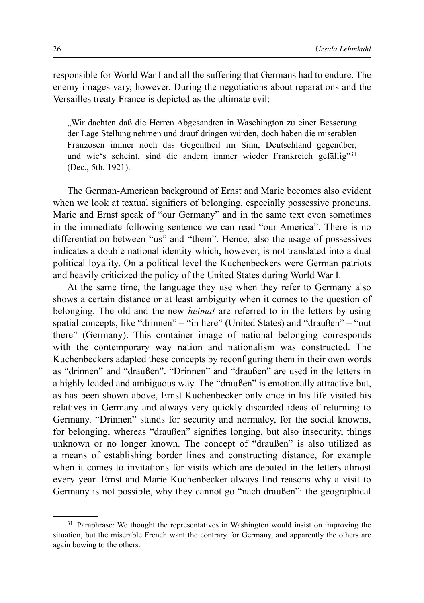responsible for World War I and all the suffering that Germans had to endure. The enemy images vary, however. During the negotiations about reparations and the Versailles treaty France is depicted as the ultimate evil:

"Wir dachten daß die Herren Abgesandten in Waschington zu einer Besserung der Lage Stellung nehmen und drauf dringen würden, doch haben die miserablen Franzosen immer noch das Gegentheil im Sinn, Deutschland gegenüber, und wie's scheint, sind die andern immer wieder Frankreich gefällig"<sup>31</sup> (Dec., 5th. 1921).

The German-American background of Ernst and Marie becomes also evident when we look at textual signifiers of belonging, especially possessive pronouns. Marie and Ernst speak of "our Germany" and in the same text even sometimes in the immediate following sentence we can read "our America". There is no differentiation between "us" and "them". Hence, also the usage of possessives indicates a double national identity which, however, is not translated into a dual political loyality. On a political level the Kuchenbeckers were German patriots and heavily criticized the policy of the United States during World War I.

At the same time, the language they use when they refer to Germany also shows a certain distance or at least ambiguity when it comes to the question of belonging. The old and the new *heimat* are referred to in the letters by using spatial concepts, like "drinnen" – "in here" (United States) and "draußen" – "out there" (Germany). This container image of national belonging corresponds with the contemporary way nation and nationalism was constructed. The Kuchenbeckers adapted these concepts by reconfiguring them in their own words as "drinnen" and "draußen". "Drinnen" and "draußen" are used in the letters in a highly loaded and ambiguous way. The "draußen" is emotionally attractive but, as has been shown above, Ernst Kuchenbecker only once in his life visited his relatives in Germany and always very quickly discarded ideas of returning to Germany. "Drinnen" stands for security and normalcy, for the social knowns, for belonging, whereas "draußen" signifies longing, but also insecurity, things unknown or no longer known. The concept of "draußen" is also utilized as a means of establishing border lines and constructing distance, for example when it comes to invitations for visits which are debated in the letters almost every year. Ernst and Marie Kuchenbecker always find reasons why a visit to Germany is not possible, why they cannot go "nach draußen": the geographical

<sup>&</sup>lt;sup>31</sup> Paraphrase: We thought the representatives in Washington would insist on improving the situation, but the miserable French want the contrary for Germany, and apparently the others are again bowing to the others.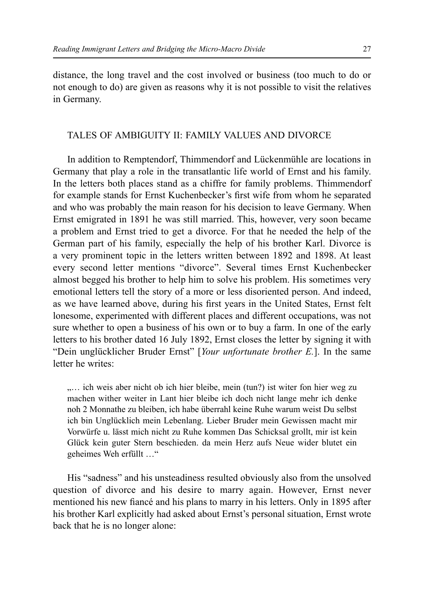distance, the long travel and the cost involved or business (too much to do or not enough to do) are given as reasons why it is not possible to visit the relatives in Germany.

#### TALES OF AMBIGUITY II: FAMILY VALUES AND DIVORCE

In addition to Remptendorf, Thimmendorf and Lückenmühle are locations in Germany that play a role in the transatlantic life world of Ernst and his family. In the letters both places stand as a chiffre for family problems. Thimmendorf for example stands for Ernst Kuchenbecker's first wife from whom he separated and who was probably the main reason for his decision to leave Germany. When Ernst emigrated in 1891 he was still married. This, however, very soon became a problem and Ernst tried to get a divorce. For that he needed the help of the German part of his family, especially the help of his brother Karl. Divorce is a very prominent topic in the letters written between 1892 and 1898. At least every second letter mentions "divorce". Several times Ernst Kuchenbecker almost begged his brother to help him to solve his problem. His sometimes very emotional letters tell the story of a more or less disoriented person. And indeed, as we have learned above, during his first years in the United States, Ernst felt lonesome, experimented with different places and different occupations, was not sure whether to open a business of his own or to buy a farm. In one of the early letters to his brother dated 16 July 1892, Ernst closes the letter by signing it with "Dein unglücklicher Bruder Ernst" [*Your unfortunate brother E.*]. In the same letter he writes:

.... ich weis aber nicht ob ich hier bleibe, mein (tun?) ist witer fon hier weg zu machen wither weiter in Lant hier bleibe ich doch nicht lange mehr ich denke noh 2 Monnathe zu bleiben, ich habe überrahl keine Ruhe warum weist Du selbst ich bin Unglücklich mein Lebenlang. Lieber Bruder mein Gewissen macht mir Vorwürfe u. lässt mich nicht zu Ruhe kommen Das Schicksal grollt, mir ist kein Glück kein guter Stern beschieden. da mein Herz aufs Neue wider blutet ein geheimes Weh erfüllt …"

His "sadness" and his unsteadiness resulted obviously also from the unsolved question of divorce and his desire to marry again. However, Ernst never mentioned his new fiancé and his plans to marry in his letters. Only in 1895 after his brother Karl explicitly had asked about Ernst's personal situation, Ernst wrote back that he is no longer alone: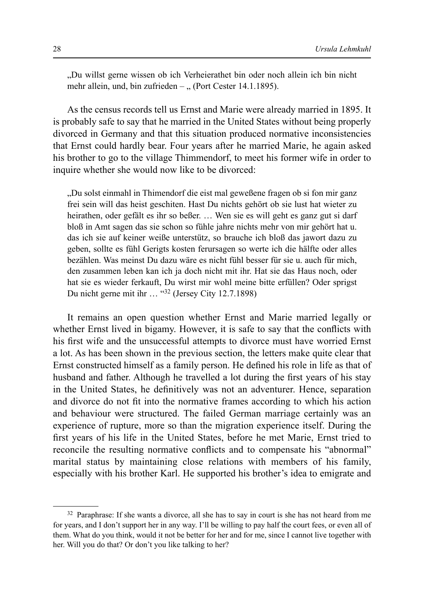"Du willst gerne wissen ob ich Verheierathet bin oder noch allein ich bin nicht mehr allein, und, bin zufrieden – " (Port Cester 14.1.1895).

As the census records tell us Ernst and Marie were already married in 1895. It is probably safe to say that he married in the United States without being properly divorced in Germany and that this situation produced normative inconsistencies that Ernst could hardly bear. Four years after he married Marie, he again asked his brother to go to the village Thimmendorf, to meet his former wife in order to inquire whether she would now like to be divorced:

"Du solst einmahl in Thimendorf die eist mal geweßene fragen ob si fon mir ganz frei sein will das heist geschiten. Hast Du nichts gehört ob sie lust hat wieter zu heirathen, oder gefält es ihr so beßer. … Wen sie es will geht es ganz gut si darf bloß in Amt sagen das sie schon so fühle jahre nichts mehr von mir gehört hat u. das ich sie auf keiner weiße unterstütz, so brauche ich bloß das jawort dazu zu geben, sollte es fühl Gerigts kosten ferursagen so werte ich die hälfte oder alles bezählen. Was meinst Du dazu wäre es nicht fühl besser für sie u. auch für mich, den zusammen leben kan ich ja doch nicht mit ihr. Hat sie das Haus noch, oder hat sie es wieder ferkauft, Du wirst mir wohl meine bitte erfüllen? Oder sprigst Du nicht gerne mit ihr … "32 (Jersey City 12.7.1898)

It remains an open question whether Ernst and Marie married legally or whether Ernst lived in bigamy. However, it is safe to say that the conflicts with his first wife and the unsuccessful attempts to divorce must have worried Ernst a lot. As has been shown in the previous section, the letters make quite clear that Ernst constructed himself as a family person. He defined his role in life as that of husband and father. Although he travelled a lot during the first years of his stay in the United States, he definitively was not an adventurer. Hence, separation and divorce do not fit into the normative frames according to which his action and behaviour were structured. The failed German marriage certainly was an experience of rupture, more so than the migration experience itself. During the first years of his life in the United States, before he met Marie, Ernst tried to reconcile the resulting normative conflicts and to compensate his "abnormal" marital status by maintaining close relations with members of his family, especially with his brother Karl. He supported his brother's idea to emigrate and

<sup>&</sup>lt;sup>32</sup> Paraphrase: If she wants a divorce, all she has to say in court is she has not heard from me for years, and I don't support her in any way. I'll be willing to pay half the court fees, or even all of them. What do you think, would it not be better for her and for me, since I cannot live together with her. Will you do that? Or don't you like talking to her?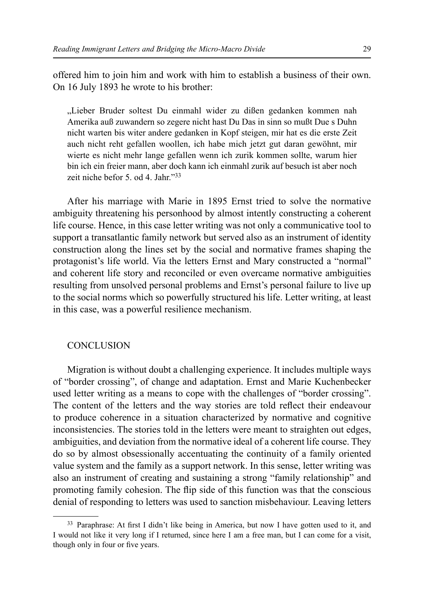offered him to join him and work with him to establish a business of their own. On 16 July 1893 he wrote to his brother:

"Lieber Bruder soltest Du einmahl wider zu dißen gedanken kommen nah Amerika auß zuwandern so zegere nicht hast Du Das in sinn so mußt Due s Duhn nicht warten bis witer andere gedanken in Kopf steigen, mir hat es die erste Zeit auch nicht reht gefallen woollen, ich habe mich jetzt gut daran gewöhnt, mir wierte es nicht mehr lange gefallen wenn ich zurik kommen sollte, warum hier bin ich ein freier mann, aber doch kann ich einmahl zurik auf besuch ist aber noch zeit niche befor 5. od 4. Jahr."33

After his marriage with Marie in 1895 Ernst tried to solve the normative ambiguity threatening his personhood by almost intently constructing a coherent life course. Hence, in this case letter writing was not only a communicative tool to support a transatlantic family network but served also as an instrument of identity construction along the lines set by the social and normative frames shaping the protagonist's life world. Via the letters Ernst and Mary constructed a "normal" and coherent life story and reconciled or even overcame normative ambiguities resulting from unsolved personal problems and Ernst's personal failure to live up to the social norms which so powerfully structured his life. Letter writing, at least in this case, was a powerful resilience mechanism.

#### **CONCLUSION**

Migration is without doubt a challenging experience. It includes multiple ways of "border crossing", of change and adaptation. Ernst and Marie Kuchenbecker used letter writing as a means to cope with the challenges of "border crossing". The content of the letters and the way stories are told reflect their endeavour to produce coherence in a situation characterized by normative and cognitive inconsistencies. The stories told in the letters were meant to straighten out edges, ambiguities, and deviation from the normative ideal of a coherent life course. They do so by almost obsessionally accentuating the continuity of a family oriented value system and the family as a support network. In this sense, letter writing was also an instrument of creating and sustaining a strong "family relationship" and promoting family cohesion. The flip side of this function was that the conscious denial of responding to letters was used to sanction misbehaviour. Leaving letters

 $33$  Paraphrase: At first I didn't like being in America, but now I have gotten used to it, and I would not like it very long if I returned, since here I am a free man, but I can come for a visit, though only in four or five years.